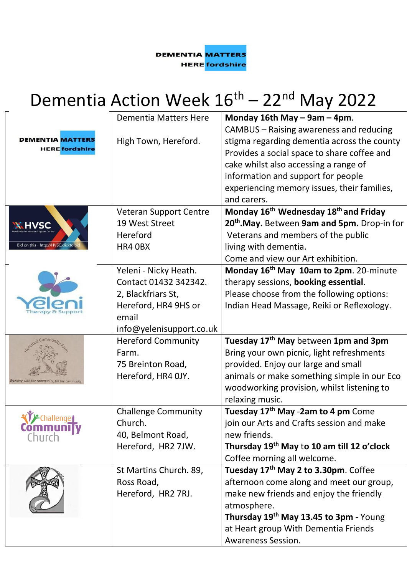**DEMENTIA MATTERS HERE** fordshire

## Dementia Action Week  $16^{\text{th}}$  – 22<sup>nd</sup> May 2022

|                                                                   | <b>Dementia Matters Here</b>  | Monday 16th May - 9am - 4pm.                                                                                                                                                   |
|-------------------------------------------------------------------|-------------------------------|--------------------------------------------------------------------------------------------------------------------------------------------------------------------------------|
| <b>DEMENTIA MATTERS</b><br><b>HERE</b> fordshire                  | High Town, Hereford.          | CAMBUS – Raising awareness and reducing<br>stigma regarding dementia across the county<br>Provides a social space to share coffee and<br>cake whilst also accessing a range of |
|                                                                   |                               | information and support for people<br>experiencing memory issues, their families,<br>and carers.                                                                               |
|                                                                   | <b>Veteran Support Centre</b> | Monday 16 <sup>th</sup> Wednesday 18 <sup>th</sup> and Friday                                                                                                                  |
|                                                                   | 19 West Street                | 20 <sup>th</sup> .May. Between 9am and 5pm. Drop-in for                                                                                                                        |
|                                                                   | Hereford                      | Veterans and members of the public                                                                                                                                             |
| Bid on this - http://HVSC.clickto.k                               | HR4 OBX                       | living with dementia.                                                                                                                                                          |
|                                                                   |                               | Come and view our Art exhibition.                                                                                                                                              |
|                                                                   | Yeleni - Nicky Heath.         | Monday 16 <sup>th</sup> May 10am to 2pm. 20-minute                                                                                                                             |
|                                                                   | Contact 01432 342342.         | therapy sessions, booking essential.                                                                                                                                           |
|                                                                   | 2, Blackfriars St,            | Please choose from the following options:                                                                                                                                      |
|                                                                   | Hereford, HR4 9HS or          | Indian Head Massage, Reiki or Reflexology.                                                                                                                                     |
|                                                                   | email                         |                                                                                                                                                                                |
|                                                                   | info@yelenisupport.co.uk      |                                                                                                                                                                                |
|                                                                   | <b>Hereford Community</b>     | Tuesday 17 <sup>th</sup> May between 1pm and 3pm                                                                                                                               |
|                                                                   | Farm.                         | Bring your own picnic, light refreshments                                                                                                                                      |
|                                                                   | 75 Breinton Road,             | provided. Enjoy our large and small<br>animals or make something simple in our Eco                                                                                             |
| Vorking with the community, for the comi                          | Hereford, HR4 0JY.            |                                                                                                                                                                                |
|                                                                   |                               | woodworking provision, whilst listening to<br>relaxing music.                                                                                                                  |
|                                                                   | <b>Challenge Community</b>    | Tuesday 17 <sup>th</sup> May -2am to 4 pm Come                                                                                                                                 |
| <b><i><u>i</u>f</i></b> -challenger<br><b>Community</b><br>Church | Church.                       | join our Arts and Crafts session and make                                                                                                                                      |
|                                                                   | 40, Belmont Road,             | new friends.                                                                                                                                                                   |
|                                                                   | Hereford, HR2 7JW.            | Thursday 19 <sup>th</sup> May to 10 am till 12 o'clock                                                                                                                         |
|                                                                   |                               | Coffee morning all welcome.                                                                                                                                                    |
|                                                                   | St Martins Church. 89,        | Tuesday 17 <sup>th</sup> May 2 to 3.30pm. Coffee                                                                                                                               |
|                                                                   | Ross Road,                    | afternoon come along and meet our group,                                                                                                                                       |
|                                                                   | Hereford, HR2 7RJ.            | make new friends and enjoy the friendly                                                                                                                                        |
|                                                                   |                               | atmosphere.                                                                                                                                                                    |
|                                                                   |                               | Thursday 19 <sup>th</sup> May 13.45 to 3pm - Young                                                                                                                             |
|                                                                   |                               | at Heart group With Dementia Friends                                                                                                                                           |
|                                                                   |                               | <b>Awareness Session.</b>                                                                                                                                                      |
|                                                                   |                               |                                                                                                                                                                                |